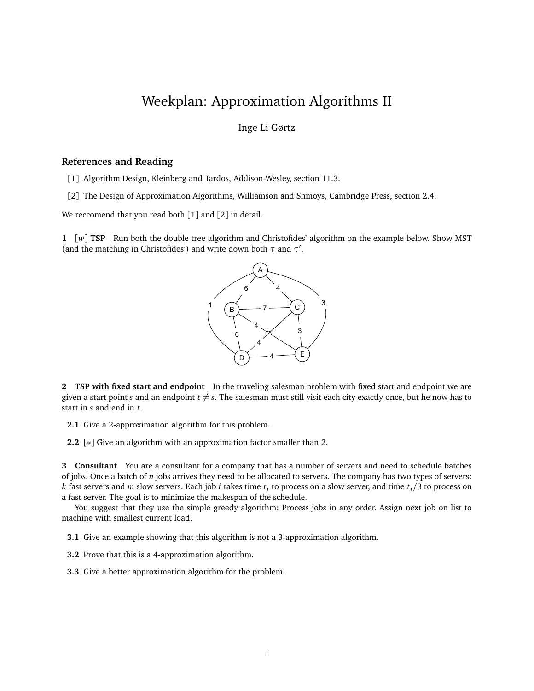## Weekplan: Approximation Algorithms II

Inge Li Gørtz

## **References and Reading**

- [1] Algorithm Design, Kleinberg and Tardos, Addison-Wesley, section 11.3.
- [2] The Design of Approximation Algorithms, Williamson and Shmoys, Cambridge Press, section 2.4.

We reccomend that you read both [1] and [2] in detail.

**1** [*w*] **TSP** Run both the double tree algorithm and Christofides' algorithm on the example below. Show MST (and the matching in Christofides') and write down both  $\tau$  and  $\tau'$ .



**2 TSP with fixed start and endpoint** In the traveling salesman problem with fixed start and endpoint we are given a start point *s* and an endpoint  $t \neq s$ . The salesman must still visit each city exactly once, but he now has to start in *s* and end in *t*.

- **2.1** Give a 2-approximation algorithm for this problem.
- **2.2** [∗] Give an algorithm with an approximation factor smaller than 2.

**3 Consultant** You are a consultant for a company that has a number of servers and need to schedule batches of jobs. Once a batch of *n* jobs arrives they need to be allocated to servers. The company has two types of servers: *k* fast servers and *m* slow servers. Each job *i* takes time *t<sup>i</sup>* to process on a slow server, and time *ti/*3 to process on a fast server. The goal is to minimize the makespan of the schedule.

You suggest that they use the simple greedy algorithm: Process jobs in any order. Assign next job on list to machine with smallest current load.

**3.1** Give an example showing that this algorithm is not a 3-approximation algorithm.

- **3.2** Prove that this is a 4-approximation algorithm.
- **3.3** Give a better approximation algorithm for the problem.